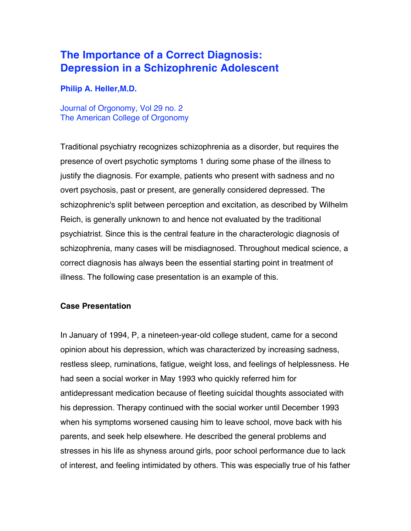# **The Importance of a Correct Diagnosis: Depression in a Schizophrenic Adolescent**

#### **Philip A. Heller,M.D.**

Journal of Orgonomy, Vol 29 no. 2 The American College of Orgonomy

Traditional psychiatry recognizes schizophrenia as a disorder, but requires the presence of overt psychotic symptoms 1 during some phase of the illness to justify the diagnosis. For example, patients who present with sadness and no overt psychosis, past or present, are generally considered depressed. The schizophrenic's split between perception and excitation, as described by Wilhelm Reich, is generally unknown to and hence not evaluated by the traditional psychiatrist. Since this is the central feature in the characterologic diagnosis of schizophrenia, many cases will be misdiagnosed. Throughout medical science, a correct diagnosis has always been the essential starting point in treatment of illness. The following case presentation is an example of this.

#### **Case Presentation**

In January of 1994, P, a nineteen-year-old college student, came for a second opinion about his depression, which was characterized by increasing sadness, restless sleep, ruminations, fatigue, weight loss, and feelings of helplessness. He had seen a social worker in May 1993 who quickly referred him for antidepressant medication because of fleeting suicidal thoughts associated with his depression. Therapy continued with the social worker until December 1993 when his symptoms worsened causing him to leave school, move back with his parents, and seek help elsewhere. He described the general problems and stresses in his life as shyness around girls, poor school performance due to lack of interest, and feeling intimidated by others. This was especially true of his father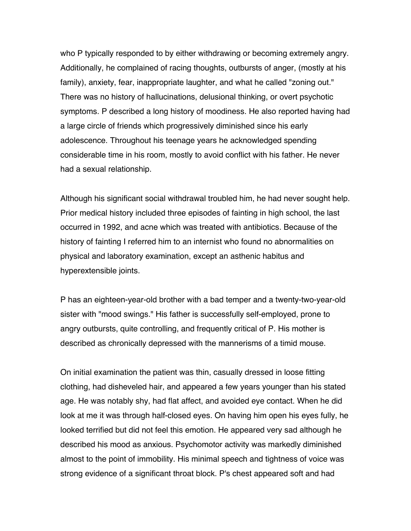who P typically responded to by either withdrawing or becoming extremely angry. Additionally, he complained of racing thoughts, outbursts of anger, (mostly at his family), anxiety, fear, inappropriate laughter, and what he called "zoning out." There was no history of hallucinations, delusional thinking, or overt psychotic symptoms. P described a long history of moodiness. He also reported having had a large circle of friends which progressively diminished since his early adolescence. Throughout his teenage years he acknowledged spending considerable time in his room, mostly to avoid conflict with his father. He never had a sexual relationship.

Although his significant social withdrawal troubled him, he had never sought help. Prior medical history included three episodes of fainting in high school, the last occurred in 1992, and acne which was treated with antibiotics. Because of the history of fainting I referred him to an internist who found no abnormalities on physical and laboratory examination, except an asthenic habitus and hyperextensible joints.

P has an eighteen-year-old brother with a bad temper and a twenty-two-year-old sister with "mood swings." His father is successfully self-employed, prone to angry outbursts, quite controlling, and frequently critical of P. His mother is described as chronically depressed with the mannerisms of a timid mouse.

On initial examination the patient was thin, casually dressed in loose fitting clothing, had disheveled hair, and appeared a few years younger than his stated age. He was notably shy, had flat affect, and avoided eye contact. When he did look at me it was through half-closed eyes. On having him open his eyes fully, he looked terrified but did not feel this emotion. He appeared very sad although he described his mood as anxious. Psychomotor activity was markedly diminished almost to the point of immobility. His minimal speech and tightness of voice was strong evidence of a significant throat block. P's chest appeared soft and had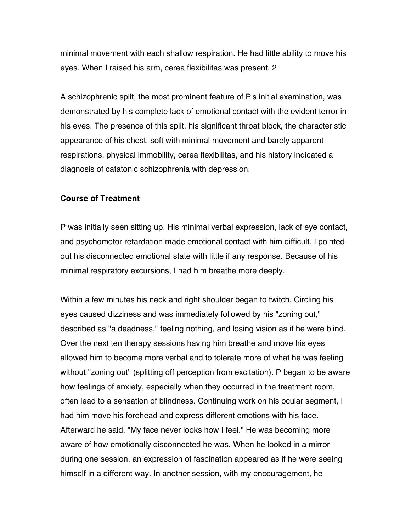minimal movement with each shallow respiration. He had little ability to move his eyes. When I raised his arm, cerea flexibilitas was present. 2

A schizophrenic split, the most prominent feature of P's initial examination, was demonstrated by his complete lack of emotional contact with the evident terror in his eyes. The presence of this split, his significant throat block, the characteristic appearance of his chest, soft with minimal movement and barely apparent respirations, physical immobility, cerea flexibilitas, and his history indicated a diagnosis of catatonic schizophrenia with depression.

### **Course of Treatment**

P was initially seen sitting up. His minimal verbal expression, lack of eye contact, and psychomotor retardation made emotional contact with him difficult. I pointed out his disconnected emotional state with little if any response. Because of his minimal respiratory excursions, I had him breathe more deeply.

Within a few minutes his neck and right shoulder began to twitch. Circling his eyes caused dizziness and was immediately followed by his "zoning out," described as "a deadness," feeling nothing, and losing vision as if he were blind. Over the next ten therapy sessions having him breathe and move his eyes allowed him to become more verbal and to tolerate more of what he was feeling without "zoning out" (splitting off perception from excitation). P began to be aware how feelings of anxiety, especially when they occurred in the treatment room, often lead to a sensation of blindness. Continuing work on his ocular segment, I had him move his forehead and express different emotions with his face. Afterward he said, "My face never looks how I feel." He was becoming more aware of how emotionally disconnected he was. When he looked in a mirror during one session, an expression of fascination appeared as if he were seeing himself in a different way. In another session, with my encouragement, he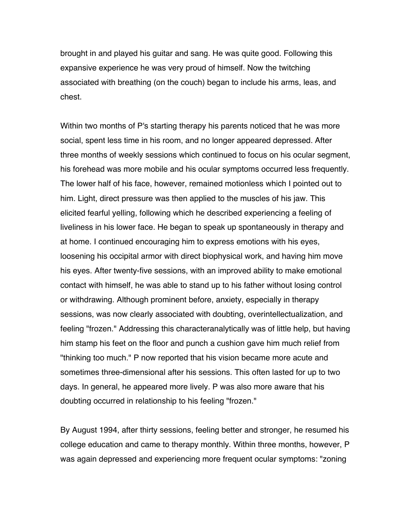brought in and played his guitar and sang. He was quite good. Following this expansive experience he was very proud of himself. Now the twitching associated with breathing (on the couch) began to include his arms, leas, and chest.

Within two months of P's starting therapy his parents noticed that he was more social, spent less time in his room, and no longer appeared depressed. After three months of weekly sessions which continued to focus on his ocular segment, his forehead was more mobile and his ocular symptoms occurred less frequently. The lower half of his face, however, remained motionless which I pointed out to him. Light, direct pressure was then applied to the muscles of his jaw. This elicited fearful yelling, following which he described experiencing a feeling of liveliness in his lower face. He began to speak up spontaneously in therapy and at home. I continued encouraging him to express emotions with his eyes, loosening his occipital armor with direct biophysical work, and having him move his eyes. After twenty-five sessions, with an improved ability to make emotional contact with himself, he was able to stand up to his father without losing control or withdrawing. Although prominent before, anxiety, especially in therapy sessions, was now clearly associated with doubting, overintellectualization, and feeling "frozen." Addressing this characteranalytically was of little help, but having him stamp his feet on the floor and punch a cushion gave him much relief from "thinking too much." P now reported that his vision became more acute and sometimes three-dimensional after his sessions. This often lasted for up to two days. In general, he appeared more lively. P was also more aware that his doubting occurred in relationship to his feeling "frozen."

By August 1994, after thirty sessions, feeling better and stronger, he resumed his college education and came to therapy monthly. Within three months, however, P was again depressed and experiencing more frequent ocular symptoms: "zoning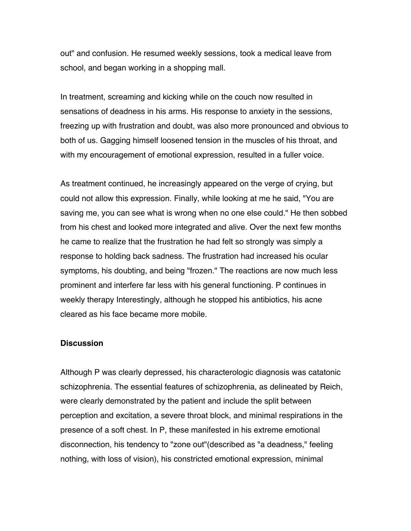out" and confusion. He resumed weekly sessions, took a medical leave from school, and began working in a shopping mall.

In treatment, screaming and kicking while on the couch now resulted in sensations of deadness in his arms. His response to anxiety in the sessions, freezing up with frustration and doubt, was also more pronounced and obvious to both of us. Gagging himself loosened tension in the muscles of his throat, and with my encouragement of emotional expression, resulted in a fuller voice.

As treatment continued, he increasingly appeared on the verge of crying, but could not allow this expression. Finally, while looking at me he said, "You are saving me, you can see what is wrong when no one else could." He then sobbed from his chest and looked more integrated and alive. Over the next few months he came to realize that the frustration he had felt so strongly was simply a response to holding back sadness. The frustration had increased his ocular symptoms, his doubting, and being "frozen." The reactions are now much less prominent and interfere far less with his general functioning. P continues in weekly therapy Interestingly, although he stopped his antibiotics, his acne cleared as his face became more mobile.

#### **Discussion**

Although P was clearly depressed, his characterologic diagnosis was catatonic schizophrenia. The essential features of schizophrenia, as delineated by Reich, were clearly demonstrated by the patient and include the split between perception and excitation, a severe throat block, and minimal respirations in the presence of a soft chest. In P, these manifested in his extreme emotional disconnection, his tendency to "zone out"(described as "a deadness," feeling nothing, with loss of vision), his constricted emotional expression, minimal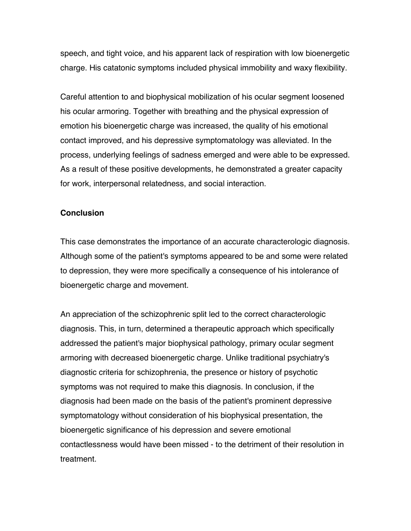speech, and tight voice, and his apparent lack of respiration with low bioenergetic charge. His catatonic symptoms included physical immobility and waxy flexibility.

Careful attention to and biophysical mobilization of his ocular segment loosened his ocular armoring. Together with breathing and the physical expression of emotion his bioenergetic charge was increased, the quality of his emotional contact improved, and his depressive symptomatology was alleviated. In the process, underlying feelings of sadness emerged and were able to be expressed. As a result of these positive developments, he demonstrated a greater capacity for work, interpersonal relatedness, and social interaction.

#### **Conclusion**

This case demonstrates the importance of an accurate characterologic diagnosis. Although some of the patient's symptoms appeared to be and some were related to depression, they were more specifically a consequence of his intolerance of bioenergetic charge and movement.

An appreciation of the schizophrenic split led to the correct characterologic diagnosis. This, in turn, determined a therapeutic approach which specifically addressed the patient's major biophysical pathology, primary ocular segment armoring with decreased bioenergetic charge. Unlike traditional psychiatry's diagnostic criteria for schizophrenia, the presence or history of psychotic symptoms was not required to make this diagnosis. In conclusion, if the diagnosis had been made on the basis of the patient's prominent depressive symptomatology without consideration of his biophysical presentation, the bioenergetic significance of his depression and severe emotional contactlessness would have been missed - to the detriment of their resolution in treatment.